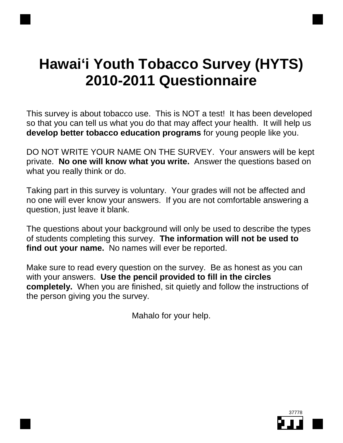

# **Hawai'i Youth Tobacco Survey (HYTS) 2010-2011 Questionnaire**

This survey is about tobacco use. This is NOT a test! It has been developed so that you can tell us what you do that may affect your health. It will help us **develop better tobacco education programs** for young people like you.

DO NOT WRITE YOUR NAME ON THE SURVEY. Your answers will be kept private. **No one will know what you write.** Answer the questions based on what you really think or do.

Taking part in this survey is voluntary. Your grades will not be affected and no one will ever know your answers. If you are not comfortable answering a question, just leave it blank.

The questions about your background will only be used to describe the types of students completing this survey. **The information will not be used to find out your name.** No names will ever be reported.

Make sure to read every question on the survey. Be as honest as you can with your answers. **Use the pencil provided to fill in the circles completely.** When you are finished, sit quietly and follow the instructions of the person giving you the survey.

Mahalo for your help.

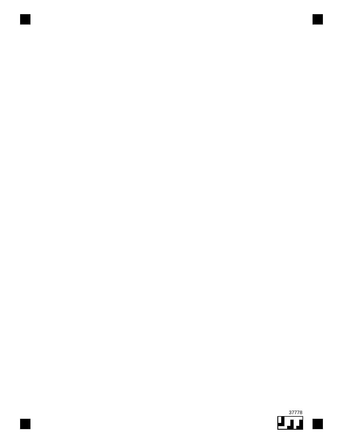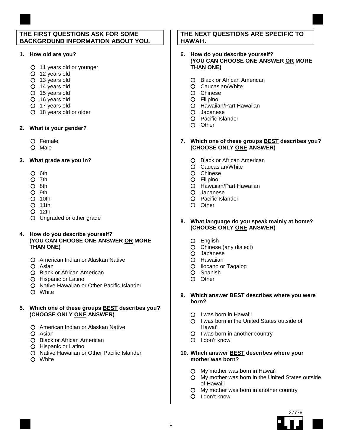# **THE FIRST QUESTIONS ASK FOR SOME BACKGROUND INFORMATION ABOUT YOU.**

### **1. How old are you?**

- 11 years old or younger
- 12 years old
- 13 years old
- 14 years old
- 15 years old
- 16 years old
- 17 years old
- 18 years old or older

# **2. What is your gender?**

- O Female
- O Male

# **3. What grade are you in?**

- O 6th
- O 7th
- $O$  8th
- $O$  9th
- 10th
- O 11th
- $O$  12th
- Ungraded or other grade

#### **4. How do you describe yourself? (YOU CAN CHOOSE ONE ANSWER OR MORE THAN ONE)**

- American Indian or Alaskan Native
- O Asian
- Black or African American
- O Hispanic or Latino
- O Native Hawaiian or Other Pacific Islander
- White

## **5. Which one of these groups BEST describes you? (CHOOSE ONLY ONE ANSWER)**

- American Indian or Alaskan Native
- O Asian
- O Black or African American
- Hispanic or Latino
- O Native Hawaiian or Other Pacific Islander
- White

# **THE NEXT QUESTIONS ARE SPECIFIC TO HAWAI'I.**

## **6. How do you describe yourself? (YOU CAN CHOOSE ONE ANSWER OR MORE THAN ONE)**

- O Black or African American
- Caucasian/White
- O Chinese
- Filipino
- Hawaiian/Part Hawaiian
- O Japanese
- O Pacific Islander
- O Other

## **7. Which one of these groups BEST describes you? (CHOOSE ONLY ONE ANSWER)**

- Black or African American
- Caucasian/White
- O Chinese
- Filipino
- Hawaiian/Part Hawaiian
- O Japanese
- O Pacific Islander
- O Other

## **8. What language do you speak mainly at home? (CHOOSE ONLY ONE ANSWER)**

- English
- Chinese (any dialect)
- O Japanese
- Hawaiian
- O Ilocano or Tagalog
- O Spanish
- O Other

## **9. Which answer BEST describes where you were born?**

- O I was born in Hawai'i
- O I was born in the United States outside of Hawai'i
- O I was born in another country
- O I don't know

#### **10. Which answer BEST describes where your mother was born?**

- My mother was born in Hawai'i
- My mother was born in the United States outside of Hawai'i
- My mother was born in another country
- O I don't know

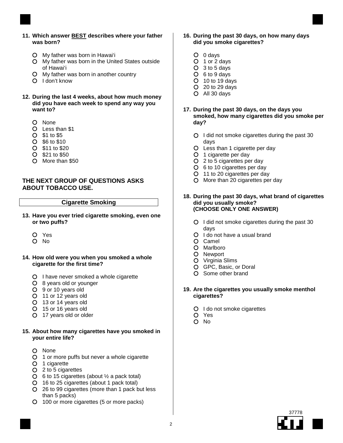

- **11. Which answer BEST describes where your father was born?** 
	- My father was born in Hawai'i
	- My father was born in the United States outside of Hawai'i
	- My father was born in another country
	- O I don't know
- **12. During the last 4 weeks, about how much money did you have each week to spend any way you want to?** 
	- O None
	- Less than \$1
	- \$1 to \$5
	- \$6 to \$10
	- \$11 to \$20
	- \$21 to \$50
	- More than \$50

# **THE NEXT GROUP OF QUESTIONS ASKS ABOUT TOBACCO USE.**

## **Cigarette Smoking**

- **13. Have you ever tried cigarette smoking, even one or two puffs?** 
	- O Yes
	- $O$  No
- **14. How old were you when you smoked a whole cigarette for the first time?** 
	- O I have never smoked a whole cigarette
	- 8 years old or younger
	- 9 or 10 years old
	- 11 or 12 years old
	- 13 or 14 years old
	- 15 or 16 years old
	- 17 years old or older
- **15. About how many cigarettes have you smoked in your entire life?** 
	- O None
	- 1 or more puffs but never a whole cigarette
	- O 1 cigarette
	- 2 to 5 cigarettes
	- $\circ$  6 to 15 cigarettes (about  $\frac{1}{2}$  a pack total)
	- 16 to 25 cigarettes (about 1 pack total)
	- 26 to 99 cigarettes (more than 1 pack but less than 5 packs)
	- 100 or more cigarettes (5 or more packs)
- **16. During the past 30 days, on how many days did you smoke cigarettes?** 
	- 0 days
	- O 1 or 2 days
	- 3 to 5 days
	- 6 to 9 days
	- 10 to 19 days
	- 20 to 29 days
	- All 30 days
- **17. During the past 30 days, on the days you smoked, how many cigarettes did you smoke per day?** 
	- O I did not smoke cigarettes during the past 30 days
	- Less than 1 cigarette per day
	- 1 cigarette per day
	- 2 to 5 cigarettes per day
	- 6 to 10 cigarettes per day
	- 11 to 20 cigarettes per day
	- O More than 20 cigarettes per day

#### **18. During the past 30 days, what brand of cigarettes did you usually smoke? (CHOOSE ONLY ONE ANSWER)**

- O I did not smoke cigarettes during the past 30 days
- O I do not have a usual brand
- O Camel
- O Marlboro
- O Newport
- O Virginia Slims
- GPC, Basic, or Doral
- O Some other brand
- **19. Are the cigarettes you usually smoke menthol cigarettes?** 
	- O I do not smoke cigarettes
	- O Yes
	- O No

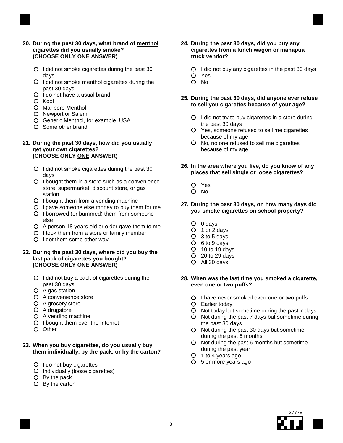#### **20. During the past 30 days, what brand of menthol cigarettes did you usually smoke? (CHOOSE ONLY ONE ANSWER)**

- O I did not smoke cigarettes during the past 30 days
- O I did not smoke menthol cigarettes during the past 30 days
- O I do not have a usual brand
- O Kool
- O Marlboro Menthol
- O Newport or Salem
- Generic Menthol, for example, USA
- O Some other brand

#### **21. During the past 30 days, how did you usually get your own cigarettes? (CHOOSE ONLY ONE ANSWER)**

- O I did not smoke cigarettes during the past 30 days
- O I bought them in a store such as a convenience store, supermarket, discount store, or gas station
- O I bought them from a vending machine
- O I gave someone else money to buy them for me I borrowed (or bummed) them from someone
- else
- A person 18 years old or older gave them to me
- Q I took them from a store or family member
- O I got them some other way

#### **22. During the past 30 days, where did you buy the last pack of cigarettes you bought? (CHOOSE ONLY ONE ANSWER)**

- $O$  I did not buy a pack of cigarettes during the past 30 days
- A gas station
- O A convenience store
- A grocery store
- A drugstore
- O A vending machine
- O I bought them over the Internet
- O Other

#### **23. When you buy cigarettes, do you usually buy them individually, by the pack, or by the carton?**

- O I do not buy cigarettes
- O Individually (loose cigarettes)
- O By the pack
- By the carton

## **24. During the past 30 days, did you buy any cigarettes from a lunch wagon or manapua truck vendor?**

- $O$  I did not buy any cigarettes in the past 30 days
- Yes
- O No
- **25. During the past 30 days, did anyone ever refuse to sell you cigarettes because of your age?** 
	- $O$  I did not try to buy cigarettes in a store during the past 30 days
	- Yes, someone refused to sell me cigarettes because of my age
	- No, no one refused to sell me cigarettes because of my age
- **26. In the area where you live, do you know of any places that sell single or loose cigarettes?** 
	- Yes
	- O No
- **27. During the past 30 days, on how many days did you smoke cigarettes on school property?** 
	- 0 days
	- O 1 or 2 days
	- 3 to 5 days
	- 6 to 9 days
	- $O$  10 to 19 days
	- 20 to 29 days
	- All 30 days

# **28. When was the last time you smoked a cigarette, even one or two puffs?**

- O I have never smoked even one or two puffs
- Earlier today
- O Not today but sometime during the past 7 days
- O Not during the past 7 days but sometime during the past 30 days
- O Not during the past 30 days but sometime during the past 6 months
- O Not during the past 6 months but sometime during the past year
- 1 to 4 years ago
- 5 or more years ago

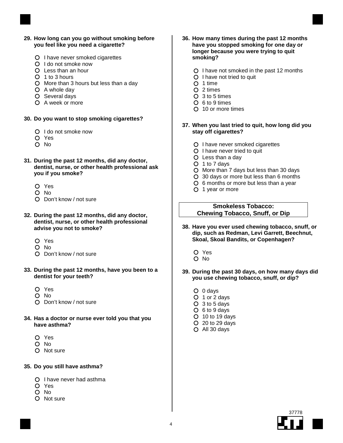## **29. How long can you go without smoking before you feel like you need a cigarette?**

- O I have never smoked cigarettes
- O I do not smoke now
- Less than an hour
- O 1 to 3 hours
- O More than 3 hours but less than a day
- O A whole day
- O Several days
- A week or more

## **30. Do you want to stop smoking cigarettes?**

- O I do not smoke now
- Yes
- O No
- **31. During the past 12 months, did any doctor, dentist, nurse, or other health professional ask you if you smoke?** 
	- Yes
	- O No
	- Don't know / not sure
- **32. During the past 12 months, did any doctor, dentist, nurse, or other health professional advise you not to smoke?** 
	- O Yes
	- O No
	- Don't know / not sure
- **33. During the past 12 months, have you been to a dentist for your teeth?** 
	- O Yes
	- O No
	- Don't know / not sure
- **34. Has a doctor or nurse ever told you that you have asthma?** 
	- O Yes
	- O No
	- O Not sure

# **35. Do you still have asthma?**

- O I have never had asthma
- O Yes
- O No
- O Not sure
- **36. How many times during the past 12 months have you stopped smoking for one day or longer because you were trying to quit smoking?** 
	- O I have not smoked in the past 12 months
	- O I have not tried to quit
	- O 1 time
	- 2 times
	- 3 to 5 times
	- 6 to 9 times
	- 10 or more times

## **37. When you last tried to quit, how long did you stay off cigarettes?**

- O I have never smoked cigarettes
- O I have never tried to quit
- Less than a day
- 1 to 7 days
- More than 7 days but less than 30 days
- 30 days or more but less than 6 months
- 6 months or more but less than a year
- O 1 year or more

# **Smokeless Tobacco: Chewing Tobacco, Snuff, or Dip**

- **38. Have you ever used chewing tobacco, snuff, or dip, such as Redman, Levi Garrett, Beechnut, Skoal, Skoal Bandits, or Copenhagen?** 
	- Yes
	- O No
- **39. During the past 30 days, on how many days did you use chewing tobacco, snuff, or dip?** 
	- 0 days
	- O 1 or 2 days
	- 3 to 5 days
	- 6 to 9 days
	- 10 to 19 days
	- 20 to 29 days All 30 days

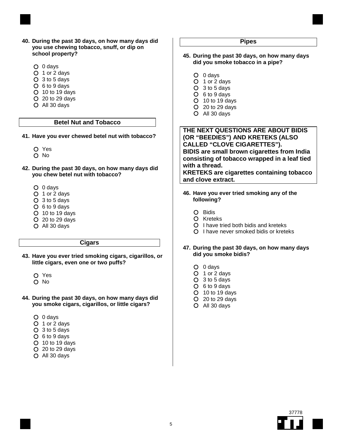

- **40. During the past 30 days, on how many days did you use chewing tobacco, snuff, or dip on school property?** 
	- 0 days
	- O 1 or 2 days
	- 3 to 5 days
	- 6 to 9 days
	- 10 to 19 days
	- 20 to 29 days
	- All 30 days

## **Betel Nut and Tobacco**

- **41. Have you ever chewed betel nut with tobacco?** 
	- Yes
	- O No
- **42. During the past 30 days, on how many days did you chew betel nut with tobacco?** 
	- 0 days
	- O 1 or 2 days
	- 3 to 5 days
	- 6 to 9 days
	- 10 to 19 days
	- 20 to 29 days
	- All 30 days

#### **Cigars**

- **43. Have you ever tried smoking cigars, cigarillos, or little cigars, even one or two puffs?** 
	- Yes
	- O No
- **44. During the past 30 days, on how many days did you smoke cigars, cigarillos, or little cigars?** 
	- 0 days
	- O 1 or 2 days
	- 3 to 5 days
	- 6 to 9 days
	- 10 to 19 days
	- $O$  20 to 29 days
	- All 30 days

#### **Pipes**

- **45. During the past 30 days, on how many days did you smoke tobacco in a pipe?** 
	- 0 days
	- O 1 or 2 days
	- 3 to 5 days
	- 6 to 9 days
	- 10 to 19 days
	- 20 to 29 days
	- All 30 days

**THE NEXT QUESTIONS ARE ABOUT BIDIS (OR "BEEDIES") AND KRETEKS (ALSO CALLED "CLOVE CIGARETTES"). BIDIS are small brown cigarettes from India consisting of tobacco wrapped in a leaf tied with a thread. KRETEKS are cigarettes containing tobacco and clove extract.** 

- **46. Have you ever tried smoking any of the following?** 
	- O Bidis
	- O Kreteks
	- O I have tried both bidis and kreteks
	- O I have never smoked bidis or kreteks

#### **47. During the past 30 days, on how many days did you smoke bidis?**

- 0 days
- O 1 or 2 days
- 3 to 5 days
- 6 to 9 days
- 10 to 19 days
- 20 to 29 days
- All 30 days

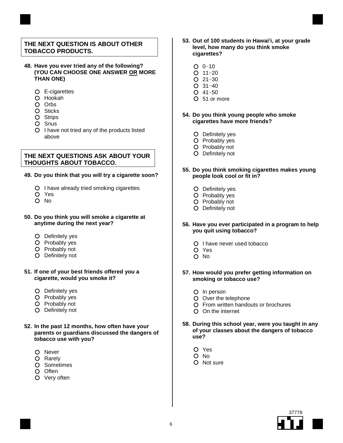# **THE NEXT QUESTION IS ABOUT OTHER TOBACCO PRODUCTS.**

- **48. Have you ever tried any of the following? (YOU CAN CHOOSE ONE ANSWER OR MORE THAN ONE)** 
	- E-cigarettes
	- O Hookah
	- O Orbs
	- O Sticks
	- O Strips
	- O Snus
	- O I have not tried any of the products listed above

## **THE NEXT QUESTIONS ASK ABOUT YOUR THOUGHTS ABOUT TOBACCO.**

## **49. Do you think that you will try a cigarette soon?**

- O I have already tried smoking cigarettes
- Yes
- O No

#### **50. Do you think you will smoke a cigarette at anytime during the next year?**

- O Definitely yes
- O Probably yes
- O Probably not
- O Definitely not

#### **51. If one of your best friends offered you a cigarette, would you smoke it?**

- O Definitely yes
- O Probably yes
- O Probably not
- O Definitely not
- **52. In the past 12 months, how often have your parents or guardians discussed the dangers of tobacco use with you?** 
	- O Never
	- O Rarely
	- Sometimes
	- O Often
	- Very often
- **53. Out of 100 students in Hawai'i, at your grade level, how many do you think smoke cigarettes?** 
	- 0−10
	- 11−20
	- 21−30
	- 31−40
	- 41−50
	- 51 or more

#### **54. Do you think young people who smoke cigarettes have more friends?**

- O Definitely yes
- O Probably yes
- O Probably not
- Definitely not
- **55. Do you think smoking cigarettes makes young people look cool or fit in?** 
	- O Definitely yes
	- O Probably yes
	- O Probably not
	- Definitely not
- **56. Have you ever participated in a program to help you quit using tobacco?** 
	- O I have never used tobacco
	- O Yes
	- O No

#### **57. How would you prefer getting information on smoking or tobacco use?**

- O In person
- O Over the telephone
- From written handouts or brochures
- $O$  On the internet
- **58. During this school year, were you taught in any of your classes about the dangers of tobacco use?** 
	- O Yes
	- O No
	- O Not sure

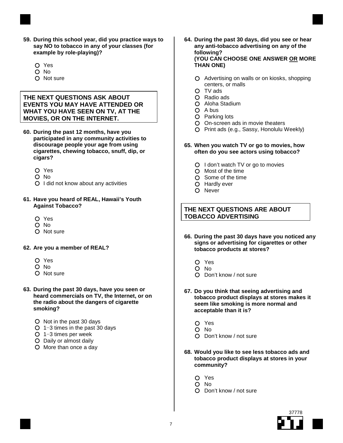

- **59. During this school year, did you practice ways to say NO to tobacco in any of your classes (for example by role-playing)?** 
	- Yes
	- O No
	- O Not sure

# **THE NEXT QUESTIONS ASK ABOUT EVENTS YOU MAY HAVE ATTENDED OR WHAT YOU HAVE SEEN ON TV, AT THE MOVIES, OR ON THE INTERNET.**

- **60. During the past 12 months, have you participated in any community activities to discourage people your age from using cigarettes, chewing tobacco, snuff, dip, or cigars?** 
	- O Yes
	- O No
	- O I did not know about any activities
- **61. Have you heard of REAL, Hawaii's Youth Against Tobacco?** 
	- O Yes
	- O No
	- O Not sure
- **62. Are you a member of REAL?** 
	- Yes
	- O No
	- O Not sure
- **63. During the past 30 days, have you seen or heard commercials on TV, the Internet, or on the radio about the dangers of cigarette smoking?** 
	- O Not in the past 30 days
	- 1−3 times in the past 30 days
	- 1−3 times per week
	- Daily or almost daily
	- O More than once a day
- **64. During the past 30 days, did you see or hear any anti-tobacco advertising on any of the following? (YOU CAN CHOOSE ONE ANSWER OR MORE THAN ONE)** 
	- Advertising on walls or on kiosks, shopping centers, or malls
	- TV ads
	- Radio ads
	- Aloha Stadium
	- O A bus
	- O Parking lots
	- On-screen ads in movie theaters
	- Print ads (e.g., Sassy, Honolulu Weekly)
- **65. When you watch TV or go to movies, how often do you see actors using tobacco?** 
	- O I don't watch TV or go to movies
	- $O$  Most of the time
	- Some of the time
	- O Hardly ever
	- O Never

# **THE NEXT QUESTIONS ARE ABOUT TOBACCO ADVERTISING**

- **66. During the past 30 days have you noticed any signs or advertising for cigarettes or other tobacco products at stores?** 
	- O Yes
	- O No
	- Don't know / not sure
- **67. Do you think that seeing advertising and tobacco product displays at stores makes it seem like smoking is more normal and acceptable than it is?** 
	- O Yes
	- $O$  No
	- O Don't know / not sure
- **68. Would you like to see less tobacco ads and tobacco product displays at stores in your community?** 
	- Yes
	- O No
	- Don't know / not sure

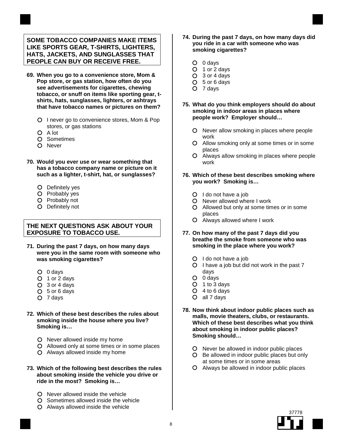## **SOME TOBACCO COMPANIES MAKE ITEMS LIKE SPORTS GEAR, T-SHIRTS, LIGHTERS, HATS, JACKETS, AND SUNGLASSES THAT PEOPLE CAN BUY OR RECEIVE FREE.**

- **69. When you go to a convenience store, Mom & Pop store, or gas station, how often do you see advertisements for cigarettes, chewing tobacco, or snuff on items like sporting gear, tshirts, hats, sunglasses, lighters, or ashtrays that have tobacco names or pictures on them?** 
	- O I never go to convenience stores, Mom & Pop stores, or gas stations
	- O A lot
	- O Sometimes
	- O Never
- **70. Would you ever use or wear something that has a tobacco company name or picture on it such as a lighter, t-shirt, hat, or sunglasses?** 
	- O Definitely yes
	- O Probably yes
	- O Probably not
	- O Definitely not

## **THE NEXT QUESTIONS ASK ABOUT YOUR EXPOSURE TO TOBACCO USE.**

- **71. During the past 7 days, on how many days were you in the same room with someone who was smoking cigarettes?** 
	- 0 days
	- O 1 or 2 days
	- 3 or 4 days
	- 5 or 6 days
	- O 7 days
- **72. Which of these best describes the rules about smoking inside the house where you live? Smoking is…** 
	- O Never allowed inside my home
	- Allowed only at some times or in some places
	- Always allowed inside my home
- **73. Which of the following best describes the rules about smoking inside the vehicle you drive or ride in the most? Smoking is…** 
	- O Never allowed inside the vehicle
	- O Sometimes allowed inside the vehicle
	- Always allowed inside the vehicle
- **74. During the past 7 days, on how many days did you ride in a car with someone who was smoking cigarettes?** 
	- 0 days
	- O 1 or 2 days
	- 3 or 4 days
	- 5 or 6 days
	- 7 days
- **75. What do you think employers should do about smoking in indoor areas in places where people work? Employer should…** 
	- O Never allow smoking in places where people work
	- Allow smoking only at some times or in some places
	- Always allow smoking in places where people work
- **76. Which of these best describes smoking where you work? Smoking is…** 
	- O I do not have a job
	- O Never allowed where I work
	- Allowed but only at some times or in some places
	- Always allowed where I work
- **77. On how many of the past 7 days did you breathe the smoke from someone who was smoking in the place where you work?** 
	- $O$  I do not have a job
	- O I have a job but did not work in the past 7 days
	- 0 days
	- 1 to 3 days
	- 4 to 6 days
	- all 7 days
- **78. Now think about indoor public places such as malls, movie theaters, clubs, or restaurants. Which of these best describes what you think about smoking in indoor public places? Smoking should…** 
	- O Never be allowed in indoor public places
	- O Be allowed in indoor public places but only at some times or in some areas
	- Always be allowed in indoor public places